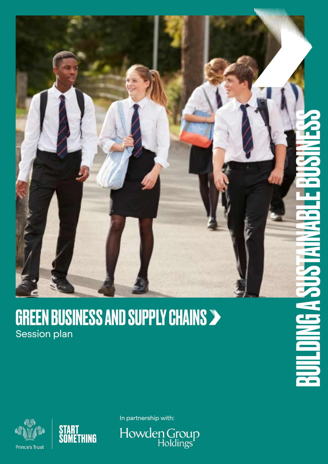

### GREEN BUSINESS AND SUPPLY CHAINS Session plan



In partnership with:

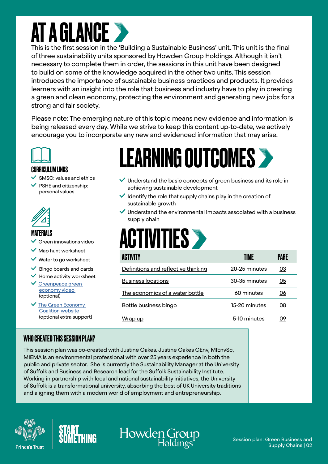### AT A GLANCE

This is the first session in the 'Building a Sustainable Business' unit. This unit is the final of three sustainability units sponsored by Howden Group Holdings. Although it isn't necessary to complete them in order, the sessions in this unit have been designed to build on some of the knowledge acquired in the other two units. This session introduces the importance of sustainable business practices and products. It provides learners with an insight into the role that business and industry have to play in creating a green and clean economy, protecting the environment and generating new jobs for a strong and fair society.

Please note: The emerging nature of this topic means new evidence and information is being released every day. While we strive to keep this content up-to-date, we actively encourage you to incorporate any new and evidenced information that may arise.



#### CURRICULUM LINKS

- SMSC: values and ethics
- PSHE and citizenship: personal values



#### **MATFRIALS**

- $\vee$  Green innovations video
- $\vee$  Map hunt worksheet
- $\vee$  Water to go worksheet
- $\vee$  Bingo boards and cards
- $\checkmark$  Home activity worksheet
- [Greenpeace green](https://youtu.be/VkOtfvhtawA)  [economy video](https://youtu.be/VkOtfvhtawA)  (optional)
- $\checkmark$  The Green Economy [Coalition website](https://www.greeneconomycoalition.org/news-and-resources/what-does-the-green-economy-mean-to-you) (optional extra support)

#### WHO CREATED THIS SESSION PLAN?

### LEARNING OUTCOMES

- $\vee$  Understand the basic concepts of green business and its role in achieving sustainable development
- Identify the role that supply chains play in the creation of sustainable growth
- $\vee$  Understand the environmental impacts associated with a business supply chain

# **ACTIVITIES >**

| ACTIVITY                            | <b>TIMF</b>   | Page |
|-------------------------------------|---------------|------|
| Definitions and reflective thinking | 20-25 minutes | 03   |
| <b>Business locations</b>           | 30-35 minutes | 05   |
| The economics of a water bottle     | 60 minutes    | 06   |
| <b>Bottle business bingo</b>        | 15-20 minutes | 08   |
| Wrap up                             | 5-10 minutes  | 09   |

This session plan was co-created with Justine Oakes. Justine Oakes CEnv, MIEnvSc, MIEMA is an environmental professional with over 25 years experience in both the public and private sector. She is currently the Sustainability Manager at the University of Suffolk and Business and Research lead for the Suffolk Sustainability Institute. Working in partnership with local and national sustainability initiatives, the University of Suffolk is a transformational university, absorbing the best of UK University traditions and aligning them with a modern world of employment and entrepreneurship.







#### Session plan: Green Business and Supply Chains | 02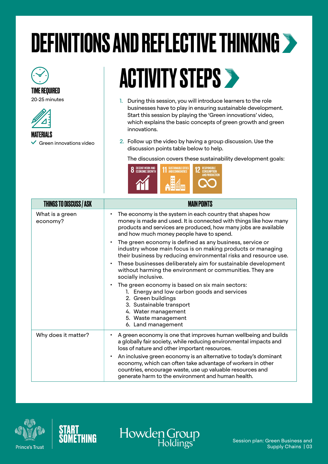# <span id="page-2-0"></span>DEFINITIONS AND REFLECTIVE THINKING

### TIME REQUIRED

20-25 minutes



**MATFRIALS** 

 $\checkmark$  Green innovations video

ACTIVITY STEPS >>

- 1. During this session, you will introduce learners to the role businesses have to play in ensuring sustainable development. Start this session by playing the 'Green innovations' video, which explains the basic concepts of green growth and green innovations.
- 2. Follow up the video by having a group discussion. Use the discussion points table below to help.

The discussion covers these sustainability development goals:



| <b>THINGS TO DISCUSS / ASK</b> | <b>MAIN POINTS</b>                                                                                                                                                                                                                                         |
|--------------------------------|------------------------------------------------------------------------------------------------------------------------------------------------------------------------------------------------------------------------------------------------------------|
| What is a green<br>economy?    | The economy is the system in each country that shapes how<br>$\bullet$<br>money is made and used. It is connected with things like how many<br>products and services are produced, how many jobs are available<br>and how much money people have to spend. |
|                                | The green economy is defined as any business, service or<br>$\bullet$<br>industry whose main focus is on making products or managing<br>their business by reducing environmental risks and resource use.                                                   |
|                                | These businesses deliberately aim for sustainable development<br>$\bullet$<br>without harming the environment or communities. They are<br>socially inclusive.                                                                                              |
|                                | The green economy is based on six main sectors:<br>$\bullet$<br>1. Energy and low carbon goods and services<br>2. Green buildings<br>3. Sustainable transport<br>4. Water management<br>5. Waste management<br>6. Land management                          |
| Why does it matter?            | A green economy is one that improves human wellbeing and builds<br>٠<br>a globally fair society, while reducing environmental impacts and<br>loss of nature and other important resources.                                                                 |
|                                | An inclusive green economy is an alternative to today's dominant<br>٠<br>economy, which can often take advantage of workers in other<br>countries, encourage waste, use up valuable resources and<br>generate harm to the environment and human health.    |

Howden Group





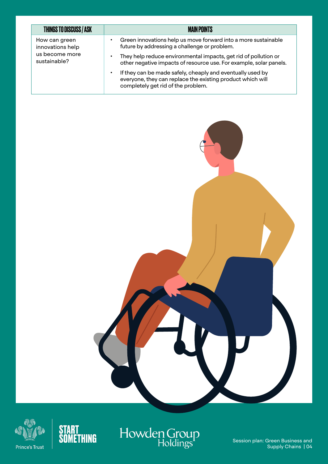| <b>THINGS TO DISCUSS / ASK</b>                                      | <b>MAIN POINTS</b>                                                                                                                                                  |
|---------------------------------------------------------------------|---------------------------------------------------------------------------------------------------------------------------------------------------------------------|
| How can green<br>innovations help<br>us become more<br>sustainable? | Green innovations help us move forward into a more sustainable<br>٠<br>future by addressing a challenge or problem.                                                 |
|                                                                     | They help reduce environmental impacts, get rid of pollution or<br>٠<br>other negative impacts of resource use. For example, solar panels.                          |
|                                                                     | If they can be made safely, cheaply and eventually used by<br>٠<br>everyone, they can replace the existing product which will<br>completely get rid of the problem. |









Session plan: Green Business and Supply Chains | 04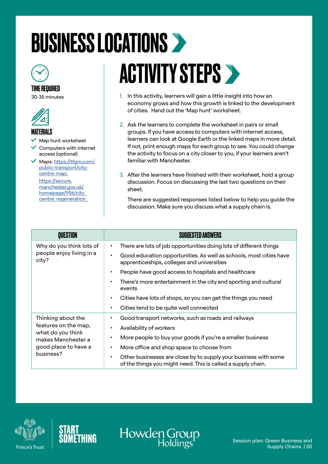### <span id="page-4-0"></span>BUSINESS LOCATIONS



#### TIME REQUIRED

30-35 minutes



#### MATERIALS

Map hunt worksheet

 $\checkmark$  Computers with internet access (optional)

 Maps: [https://tfgm.com/](https://tfgm.com/public-transport/city-centre-map) [public-transport/city](https://tfgm.com/public-transport/city-centre-map)[centre-map](https://tfgm.com/public-transport/city-centre-map); https://secure. manchester.gov.uk/ homepage/956/city\_ centre\_regeneration\_

# **ACTIVITY STEPS >**

- 1. In this activity, learners will gain a little insight into how an economy grows and how this growth is linked to the development of cities. Hand out the 'Map hunt' worksheet.
- 2. Ask the learners to complete the worksheet in pairs or small groups. If you have access to computers with internet access, learners can look at Google Earth or the linked maps in more detail. If not, print enough maps for each group to see. You could change the activity to focus on a city closer to you, if your learners aren't familiar with Manchester.
- 3. After the learners have finished with their worksheet, hold a group discussion. Focus on discussing the last two questions on their sheet.

There are suggested responses listed below to help you guide the discussion. Make sure you discuss what a supply chain is.

| <b>OUESTION</b>                                                                                                            | <b>SUGGESTED ANSWERS</b>                                                                                                                     |
|----------------------------------------------------------------------------------------------------------------------------|----------------------------------------------------------------------------------------------------------------------------------------------|
| Why do you think lots of<br>people enjoy living in a<br>city?                                                              | There are lots of job opportunities doing lots of different things<br>٠                                                                      |
|                                                                                                                            | Good education opportunities. As well as schools, most cities have<br>$\bullet$<br>apprenticeships, colleges and universities                |
|                                                                                                                            | People have good access to hospitals and healthcare<br>$\bullet$                                                                             |
|                                                                                                                            | There's more entertainment in the city and sporting and cultural<br>$\bullet$<br>events                                                      |
|                                                                                                                            | Cities have lots of shops, so you can get the things you need<br>$\bullet$                                                                   |
|                                                                                                                            | Cities tend to be quite well connected<br>$\bullet$                                                                                          |
| Thinking about the<br>features on the map,<br>what do you think<br>makes Manchester a<br>good place to have a<br>business? | Good transport networks, such as roads and railways<br>$\bullet$                                                                             |
|                                                                                                                            | Availability of workers<br>$\bullet$                                                                                                         |
|                                                                                                                            | More people to buy your goods if you're a smaller business<br>$\bullet$                                                                      |
|                                                                                                                            | More office and shop space to choose from<br>$\bullet$                                                                                       |
|                                                                                                                            | Other businesses are close by to supply your business with some<br>$\bullet$<br>of the things you might need. This is called a supply chain. |

Howden Group



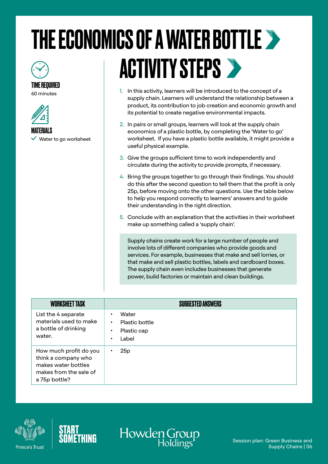### <span id="page-5-0"></span>THE ECONOMICS OF A WATER BOTTLE TIME REQUIRED **ACTIVITY STEPS >**

60 minutes



MATERIALS

 $\vee$  Water to go worksheet

1. In this activity, learners will be introduced to the concept of a supply chain. Learners will understand the relationship between a product, its contribution to job creation and economic growth and its potential to create negative environmental impacts.

2. In pairs or small groups, learners will look at the supply chain economics of a plastic bottle, by completing the 'Water to go' worksheet. If you have a plastic bottle available, it might provide a useful physical example.

3. Give the groups sufficient time to work independently and circulate during the activity to provide prompts, if necessary.

4. Bring the groups together to go through their findings. You should do this after the second question to tell them that the profit is only 25p, before moving onto the other questions. Use the table below to help you respond correctly to learners' answers and to guide their understanding in the right direction.

5. Conclude with an explanation that the activities in their worksheet make up something called a 'supply chain'.

Supply chains create work for a large number of people and involve lots of different companies who provide goods and services. For example, businesses that make and sell lorries, or that make and sell plastic bottles, labels and cardboard boxes. The supply chain even includes businesses that generate power, build factories or maintain and clean buildings.

| <b>WORKSHEET TASK</b>                                                                                           | <b>SUGGESTED ANSWERS</b>                                              |
|-----------------------------------------------------------------------------------------------------------------|-----------------------------------------------------------------------|
| List the 4 separate<br>materials used to make<br>a bottle of drinking<br>water.                                 | Water<br><b>Plastic bottle</b><br>٠<br>Plastic cap<br>٠<br>Label<br>٠ |
| How much profit do you<br>think a company who<br>makes water bottles<br>makes from the sale of<br>a 75p bottle? | 25p                                                                   |





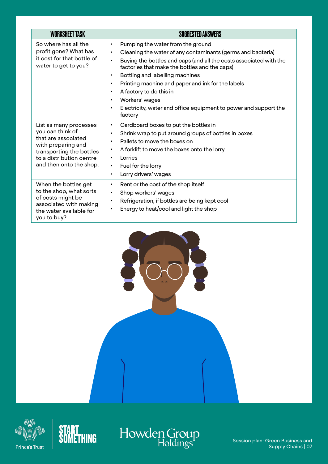| <b>WORKSHEET TASK</b>                                                                                                                                                      | <b>SUGGESTED ANSWERS</b>                                                                                                                                                                                                                                                                                                                                                                                                                                                                                                                            |
|----------------------------------------------------------------------------------------------------------------------------------------------------------------------------|-----------------------------------------------------------------------------------------------------------------------------------------------------------------------------------------------------------------------------------------------------------------------------------------------------------------------------------------------------------------------------------------------------------------------------------------------------------------------------------------------------------------------------------------------------|
| So where has all the<br>profit gone? What has<br>it cost for that bottle of<br>water to get to you?                                                                        | Pumping the water from the ground<br>$\bullet$<br>Cleaning the water of any contaminants (germs and bacteria)<br>$\bullet$<br>Buying the bottles and caps (and all the costs associated with the<br>$\bullet$<br>factories that make the bottles and the caps)<br>Bottling and labelling machines<br>$\bullet$<br>Printing machine and paper and ink for the labels<br>$\bullet$<br>A factory to do this in<br>$\bullet$<br>Workers' wages<br>$\bullet$<br>Electricity, water and office equipment to power and support the<br>$\bullet$<br>factory |
| List as many processes<br>you can think of<br>that are associated<br>with preparing and<br>transporting the bottles<br>to a distribution centre<br>and then onto the shop. | Cardboard boxes to put the bottles in<br>$\bullet$<br>Shrink wrap to put around groups of bottles in boxes<br>$\bullet$<br>Pallets to move the boxes on<br>$\bullet$<br>A forklift to move the boxes onto the lorry<br>$\bullet$<br>Lorries<br>$\bullet$<br>Fuel for the lorry<br>$\bullet$<br>Lorry drivers' wages<br>$\bullet$                                                                                                                                                                                                                    |
| When the bottles get<br>to the shop, what sorts<br>of costs might be<br>associated with making<br>the water available for<br>you to buy?                                   | Rent or the cost of the shop itself<br>$\bullet$<br>Shop workers' wages<br>$\bullet$<br>Refrigeration, if bottles are being kept cool<br>$\bullet$<br>Energy to heat/cool and light the shop<br>$\bullet$                                                                                                                                                                                                                                                                                                                                           |







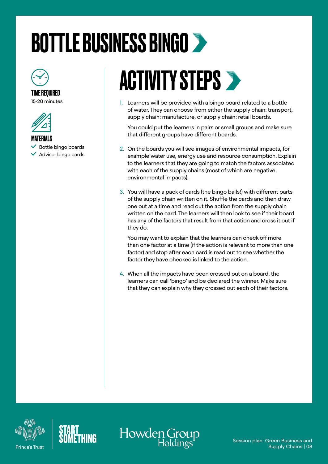# <span id="page-7-0"></span>BOTTLE BUSINESS BINGO



#### TIME REQUIRED 15-20 minutes



#### **MATFRIALS**

- Bottle bingo boards
- $\vee$  Adviser bingo cards

### **ACTIVITY STEPS >**

1. Learners will be provided with a bingo board related to a bottle of water. They can choose from either the supply chain: transport, supply chain: manufacture, or supply chain: retail boards.

You could put the learners in pairs or small groups and make sure that different groups have different boards.

- 2. On the boards you will see images of environmental impacts, for example water use, energy use and resource consumption. Explain to the learners that they are going to match the factors associated with each of the supply chains (most of which are negative environmental impacts).
- 3. You will have a pack of cards (the bingo balls!) with different parts of the supply chain written on it. Shuffle the cards and then draw one out at a time and read out the action from the supply chain written on the card. The learners will then look to see if their board has any of the factors that result from that action and cross it out if they do.

You may want to explain that the learners can check off more than one factor at a time (if the action is relevant to more than one factor) and stop after each card is read out to see whether the factor they have checked is linked to the action.

4. When all the impacts have been crossed out on a board, the learners can call 'bingo' and be declared the winner. Make sure that they can explain why they crossed out each of their factors.